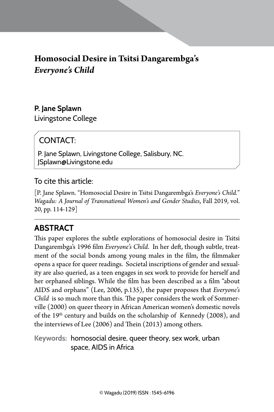# **Homosocial Desire in Tsitsi Dangarembga's**  *Everyone's Child*

## **P. Jane Splawn**

Livingstone College

# CONTACT:

P. Jane Splawn, Livingstone College, Salisbury, NC. JSplawn@Livingstone.edu

### To cite this article:

[P. Jane Splawn. "Homosocial Desire in Tsitsi Dangarembga's *Everyone's Child.*" *Wagadu: A Journal of Transnational Women's and Gender Studies*, Fall 2019, vol. 20, pp. 114-129]

# **Abstract**

This paper explores the subtle explorations of homosocial desire in Tsitsi Dangarembga's 1996 film *Everyone's Child*. In her deft, though subtle, treatment of the social bonds among young males in the film, the filmmaker opens a space for queer readings. Societal inscriptions of gender and sexuality are also queried, as a teen engages in sex work to provide for herself and her orphaned siblings. While the film has been described as a film "about AIDS and orphans" (Lee, 2006, p.135), the paper proposes that *Everyone's Child* is so much more than this. The paper considers the work of Sommerville (2000) on queer theory in African American women's domestic novels of the  $19<sup>th</sup>$  century and builds on the scholarship of Kennedy (2008), and the interviews of Lee (2006) and Thein (2013) among others.

**Keywords:** homosocial desire, queer theory, sex work, urban space, AIDS in Africa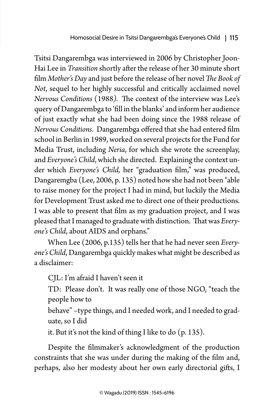Tsitsi Dangarembga was interviewed in 2006 by Christopher Joon-Hai Lee in *Transition* shortly after the release of her 30 minute short film *Mother's Day* and just before the release of her novel *The Book of Not*, sequel to her highly successful and critically acclaimed novel *Nervous Conditions* (1988*).* The context of the interview was Lee's query of Dangarembga to 'fill in the blanks' and inform her audience of just exactly what she had been doing since the 1988 release of *Nervous Conditions*. Dangarembga offered that she had entered film school in Berlin in 1989, worked on several projects for the Fund for Media Trust, including *Neria*, for which she wrote the screenplay, and *Everyone's Child*, which she directed. Explaining the context under which *Everyone's Child,* her "graduation film," was produced, Dangaremgba (Lee, 2006, p. 135) noted how she had not been "able to raise money for the project I had in mind, but luckily the Media for Development Trust asked me to direct one of their productions. I was able to present that film as my graduation project, and I was pleased that I managed to graduate with distinction. That was *Everyone's Child*, about AIDS and orphans."

When Lee (2006, p.135) tells her that he had never seen *Everyone's Child*, Dangarembga quickly makes what might be described as a disclaimer:

CJL: I'm afraid I haven't seen it

TD: Please don't. It was really one of those NGO, "teach the people how to

behave" –type things, and I needed work, and I needed to graduate, so I did

it. But it's not the kind of thing I like to do (p. 135).

Despite the filmmaker's acknowledgment of the production constraints that she was under during the making of the film and, perhaps, also her modesty about her own early directorial gifts, I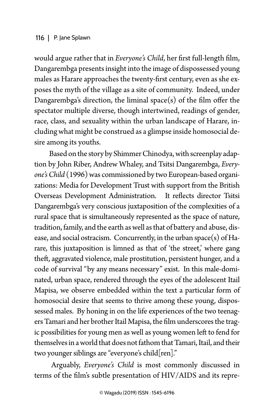would argue rather that in *Everyone's Child*, her first full-length film, Dangarembga presents insight into the image of dispossessed young males as Harare approaches the twenty-first century, even as she exposes the myth of the village as a site of community. Indeed, under Dangarembga's direction, the liminal space(s) of the film offer the spectator multiple diverse, though intertwined, readings of gender, race, class, and sexuality within the urban landscape of Harare, including what might be construed as a glimpse inside homosocial desire among its youths.

 Based on the story by Shimmer Chinodya, with screenplay adaption by John Riber, Andrew Whaley, and Tsitsi Dangarembga, *Everyone's Child* (1996)was commissioned by two European-based organizations: Media for Development Trust with support from the British Overseas Development Administration. It reflects director Tsitsi Dangarembga's very conscious juxtaposition of the complexities of a rural space that is simultaneously represented as the space of nature, tradition, family, and the earth as well as that of battery and abuse, disease, and social ostracism. Concurrently, in the urban space(s) of Harare, this juxtaposition is limned as that of 'the street,' where gang theft, aggravated violence, male prostitution, persistent hunger, and a code of survival "by any means necessary" exist. In this male-dominated, urban space, rendered through the eyes of the adolescent Itail Mapisa, we observe embedded within the text a particular form of homosocial desire that seems to thrive among these young, dispossessed males. By honing in on the life experiences of the two teenagers Tamari and her brother Itail Mapisa, the film underscores the tragic possibilities for young men as well as young women left to fend for themselves in a world that does not fathom that Tamari, Itail, and their two younger siblings are "everyone's child[ren]."

 Arguably, *Everyone's Child* is most commonly discussed in terms of the film's subtle presentation of HIV/AIDS and its repre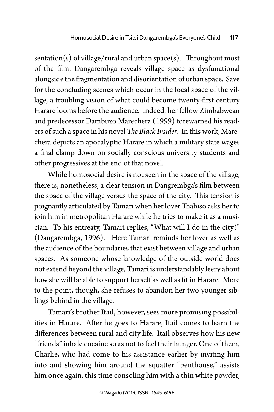sentation(s) of village/rural and urban space(s). Throughout most of the film, Dangarembga reveals village space as dysfunctional alongside the fragmentation and disorientation of urban space. Save for the concluding scenes which occur in the local space of the village, a troubling vision of what could become twenty-first century Harare looms before the audience. Indeed, her fellow Zimbabwean and predecessor Dambuzo Marechera (1999) forewarned his readers of such a space in his novel *The Black Insider*. In this work, Marechera depicts an apocalyptic Harare in which a military state wages a final clamp down on socially conscious university students and other progressives at the end of that novel.

While homosocial desire is not seen in the space of the village, there is, nonetheless, a clear tension in Dangrembga's film between the space of the village versus the space of the city. This tension is poignantly articulated by Tamari when her lover Thabiso asks her to join him in metropolitan Harare while he tries to make it as a musician. To his entreaty, Tamari replies, "What will I do in the city?" (Dangarembga, 1996). Here Tamari reminds her lover as well as the audience of the boundaries that exist between village and urban spaces. As someone whose knowledge of the outside world does not extend beyond the village, Tamari is understandably leery about how she will be able to support herself as well as fit in Harare. More to the point, though, she refuses to abandon her two younger siblings behind in the village.

Tamari's brother Itail, however, sees more promising possibilities in Harare. After he goes to Harare, Itail comes to learn the differences between rural and city life. Itail observes how his new "friends" inhale cocaine so as not to feel their hunger. One of them, Charlie, who had come to his assistance earlier by inviting him into and showing him around the squatter "penthouse," assists him once again, this time consoling him with a thin white powder,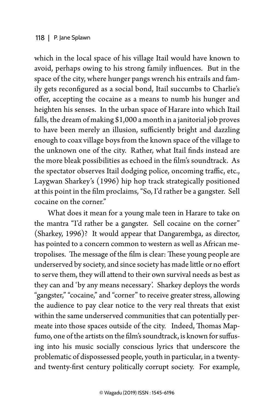which in the local space of his village Itail would have known to avoid, perhaps owing to his strong family influences. But in the space of the city, where hunger pangs wrench his entrails and family gets reconfigured as a social bond, Itail succumbs to Charlie's offer, accepting the cocaine as a means to numb his hunger and heighten his senses. In the urban space of Harare into which Itail falls, the dream of making \$1,000 a month in a janitorial job proves to have been merely an illusion, sufficiently bright and dazzling enough to coax village boys from the known space of the village to the unknown one of the city. Rather, what Itail finds instead are the more bleak possibilities as echoed in the film's soundtrack. As the spectator observes Itail dodging police, oncoming traffic, etc., Laygwan Sharkey's (1996) hip hop track strategically positioned at this point in the film proclaims, "So, I'd rather be a gangster. Sell cocaine on the corner."

What does it mean for a young male teen in Harare to take on the mantra "I'd rather be a gangster. Sell cocaine on the corner" (Sharkey, 1996)? It would appear that Dangarembga, as director, has pointed to a concern common to western as well as African metropolises. The message of the film is clear: These young people are underserved by society, and since society has made little or no effort to serve them, they will attend to their own survival needs as best as they can and 'by any means necessary'. Sharkey deploys the words "gangster," "cocaine," and "corner" to receive greater stress, allowing the audience to pay clear notice to the very real threats that exist within the same underserved communities that can potentially permeate into those spaces outside of the city. Indeed, Thomas Mapfumo, one of the artists on the film's soundtrack, is known for suffusing into his music socially conscious lyrics that underscore the problematic of dispossessed people, youth in particular, in a twentyand twenty-first century politically corrupt society. For example,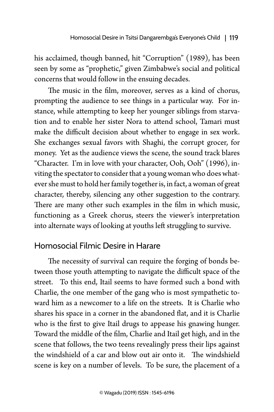his acclaimed, though banned, hit "Corruption" (1989), has been seen by some as "prophetic," given Zimbabwe's social and political concerns that would follow in the ensuing decades.

The music in the film, moreover, serves as a kind of chorus, prompting the audience to see things in a particular way. For instance, while attempting to keep her younger siblings from starvation and to enable her sister Nora to attend school, Tamari must make the difficult decision about whether to engage in sex work. She exchanges sexual favors with Shaghi, the corrupt grocer, for money. Yet as the audience views the scene, the sound track blares "Character. I'm in love with your character, Ooh, Ooh" (1996), inviting the spectator to consider that a young woman who does whatever she must to hold her family together is, in fact, a woman of great character, thereby, silencing any other suggestion to the contrary. There are many other such examples in the film in which music, functioning as a Greek chorus, steers the viewer's interpretation into alternate ways of looking at youths left struggling to survive.

# Homosocial Filmic Desire in Harare

The necessity of survival can require the forging of bonds between those youth attempting to navigate the difficult space of the street. To this end, Itail seems to have formed such a bond with Charlie, the one member of the gang who is most sympathetic toward him as a newcomer to a life on the streets. It is Charlie who shares his space in a corner in the abandoned flat, and it is Charlie who is the first to give Itail drugs to appease his gnawing hunger. Toward the middle of the film, Charlie and Itail get high, and in the scene that follows, the two teens revealingly press their lips against the windshield of a car and blow out air onto it. The windshield scene is key on a number of levels. To be sure, the placement of a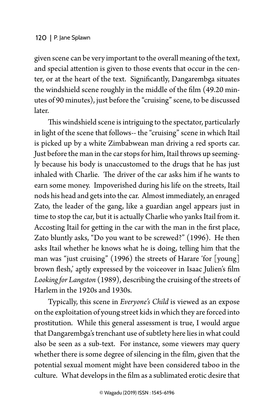given scene can be very important to the overall meaning of the text, and special attention is given to those events that occur in the center, or at the heart of the text. Significantly, Dangarembga situates the windshield scene roughly in the middle of the film (49.20 minutes of 90 minutes), just before the "cruising" scene, to be discussed later.

This windshield scene is intriguing to the spectator, particularly in light of the scene that follows-- the "cruising" scene in which Itail is picked up by a white Zimbabwean man driving a red sports car. Just before the man in the car stops for him, Itail throws up seemingly because his body is unaccustomed to the drugs that he has just inhaled with Charlie. The driver of the car asks him if he wants to earn some money. Impoverished during his life on the streets, Itail nods his head and gets into the car. Almost immediately, an enraged Zato, the leader of the gang, like a guardian angel appears just in time to stop the car, but it is actually Charlie who yanks Itail from it. Accosting Itail for getting in the car with the man in the first place, Zato bluntly asks, "Do you want to be screwed?" (1996). He then asks Itail whether he knows what he is doing, telling him that the man was "just cruising" (1996) the streets of Harare 'for [young] brown flesh,' aptly expressed by the voiceover in Isaac Julien's film *Looking for Langston* (1989), describing the cruising of the streets of Harlem in the 1920s and 1930s.

Typically, this scene in *Everyone's Child* is viewed as an expose on the exploitation of young street kids in which they are forced into prostitution. While this general assessment is true, I would argue that Dangarembga's trenchant use of subtlety here lies in what could also be seen as a sub-text. For instance, some viewers may query whether there is some degree of silencing in the film, given that the potential sexual moment might have been considered taboo in the culture. What develops in the film as a sublimated erotic desire that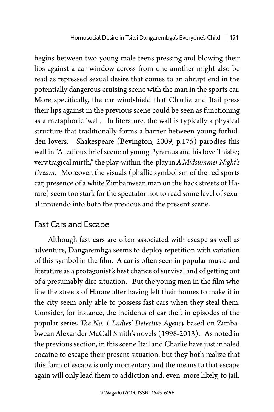begins between two young male teens pressing and blowing their lips against a car window across from one another might also be read as repressed sexual desire that comes to an abrupt end in the potentially dangerous cruising scene with the man in the sports car. More specifically, the car windshield that Charlie and Itail press their lips against in the previous scene could be seen as functioning as a metaphoric 'wall,' In literature, the wall is typically a physical structure that traditionally forms a barrier between young forbidden lovers. Shakespeare (Bevington, 2009, p.175) parodies this wall in "A tedious brief scene of young Pyramus and his love Thisbe; very tragical mirth," the play-within-the-play in *A Midsummer Night's Dream*. Moreover, the visuals (phallic symbolism of the red sports car, presence of a white Zimbabwean man on the back streets of Harare) seem too stark for the spectator not to read some level of sexual innuendo into both the previous and the present scene.

# Fast Cars and Escape

Although fast cars are often associated with escape as well as adventure, Dangarembga seems to deploy repetition with variation of this symbol in the film. A car is often seen in popular music and literature as a protagonist's best chance of survival and of getting out of a presumably dire situation. But the young men in the film who line the streets of Harare after having left their homes to make it in the city seem only able to possess fast cars when they steal them. Consider, for instance, the incidents of car theft in episodes of the popular series *The No. 1 Ladies' Detective Agency* based on Zimbabwean Alexander McCall Smith's novels (1998-2013). As noted in the previous section, in this scene Itail and Charlie have just inhaled cocaine to escape their present situation, but they both realize that this form of escape is only momentary and the means to that escape again will only lead them to addiction and, even more likely, to jail.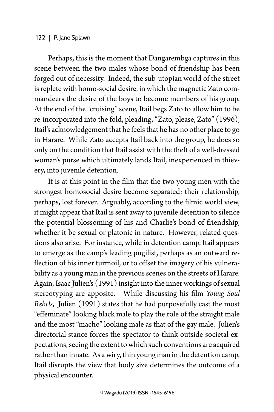#### 122 | P. Jane Splawn

Perhaps, this is the moment that Dangarembga captures in this scene between the two males whose bond of friendship has been forged out of necessity. Indeed, the sub-utopian world of the street is replete with homo-social desire, in which the magnetic Zato commandeers the desire of the boys to become members of his group. At the end of the "cruising" scene, Itail begs Zato to allow him to be re-incorporated into the fold, pleading, "Zato, please, Zato" (1996), Itail's acknowledgement that he feels that he has no other place to go in Harare. While Zato accepts Itail back into the group, he does so only on the condition that Itail assist with the theft of a well-dressed woman's purse which ultimately lands Itail, inexperienced in thievery, into juvenile detention.

It is at this point in the film that the two young men with the strongest homosocial desire become separated; their relationship, perhaps, lost forever. Arguably, according to the filmic world view, it might appear that Itail is sent away to juvenile detention to silence the potential blossoming of his and Charlie's bond of friendship, whether it be sexual or platonic in nature. However, related questions also arise. For instance, while in detention camp, Itail appears to emerge as the camp's leading pugilist, perhaps as an outward reflection of his inner turmoil, or to offset the imagery of his vulnerability as a young man in the previous scenes on the streets of Harare. Again, Isaac Julien's (1991) insight into the inner workings of sexual stereotyping are apposite. While discussing his film *Young Soul Rebels*, Julien (1991) states that he had purposefully cast the most "effeminate" looking black male to play the role of the straight male and the most "macho" looking male as that of the gay male. Julien's directorial stance forces the spectator to think outside societal expectations, seeing the extent to which such conventions are acquired rather than innate. As a wiry, thin young man in the detention camp, Itail disrupts the view that body size determines the outcome of a physical encounter.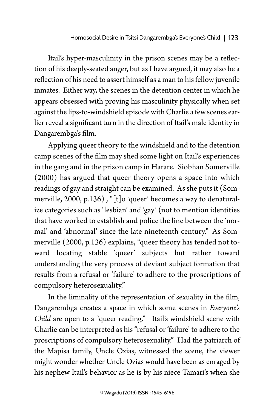Itail's hyper-masculinity in the prison scenes may be a reflection of his deeply-seated anger, but as I have argued, it may also be a reflection of his need to assert himself as a man to his fellow juvenile inmates. Either way, the scenes in the detention center in which he appears obsessed with proving his masculinity physically when set against the lips-to-windshield episode with Charlie a few scenes earlier reveal a significant turn in the direction of Itail's male identity in Dangarembga's film.

Applying queer theory to the windshield and to the detention camp scenes of the film may shed some light on Itail's experiences in the gang and in the prison camp in Harare. Siobhan Somerville (2000) has argued that queer theory opens a space into which readings of gay and straight can be examined. As she puts it (Sommerville, 2000, p.136) , "[t]o 'queer' becomes a way to denaturalize categories such as 'lesbian' and 'gay' (not to mention identities that have worked to establish and police the line between the 'normal' and 'abnormal' since the late nineteenth century." As Sommerville (2000, p.136) explains, "queer theory has tended not toward locating stable 'queer' subjects but rather toward understanding the very process of deviant subject formation that results from a refusal or 'failure' to adhere to the proscriptions of compulsory heterosexuality."

In the liminality of the representation of sexuality in the film, Dangarembga creates a space in which some scenes in *Everyone's Child* are open to a "queer reading." Itail's windshield scene with Charlie can be interpreted as his "refusal or 'failure' to adhere to the proscriptions of compulsory heterosexuality." Had the patriarch of the Mapisa family, Uncle Ozias, witnessed the scene, the viewer might wonder whether Uncle Ozias would have been as enraged by his nephew Itail's behavior as he is by his niece Tamari's when she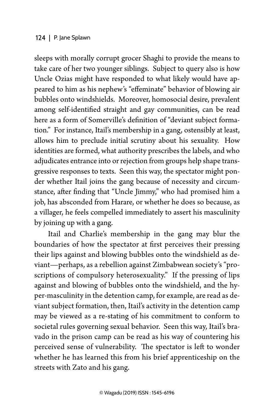#### 124 | P. Jane Splawn

sleeps with morally corrupt grocer Shaghi to provide the means to take care of her two younger siblings. Subject to query also is how Uncle Ozias might have responded to what likely would have appeared to him as his nephew's "effeminate" behavior of blowing air bubbles onto windshields. Moreover, homosocial desire, prevalent among self-identified straight and gay communities, can be read here as a form of Somerville's definition of "deviant subject formation." For instance, Itail's membership in a gang, ostensibly at least, allows him to preclude initial scrutiny about his sexuality. How identities are formed, what authority prescribes the labels, and who adjudicates entrance into or rejection from groups help shape transgressive responses to texts. Seen this way, the spectator might ponder whether Itail joins the gang because of necessity and circumstance, after finding that "Uncle Jimmy," who had promised him a job, has absconded from Harare, or whether he does so because, as a villager, he feels compelled immediately to assert his masculinity by joining up with a gang.

Itail and Charlie's membership in the gang may blur the boundaries of how the spectator at first perceives their pressing their lips against and blowing bubbles onto the windshield as deviant—perhaps, as a rebellion against Zimbabwean society's "proscriptions of compulsory heterosexuality." If the pressing of lips against and blowing of bubbles onto the windshield, and the hyper-masculinity in the detention camp, for example, are read as deviant subject formation, then, Itail's activity in the detention camp may be viewed as a re-stating of his commitment to conform to societal rules governing sexual behavior. Seen this way, Itail's bravado in the prison camp can be read as his way of countering his perceived sense of vulnerability. The spectator is left to wonder whether he has learned this from his brief apprenticeship on the streets with Zato and his gang.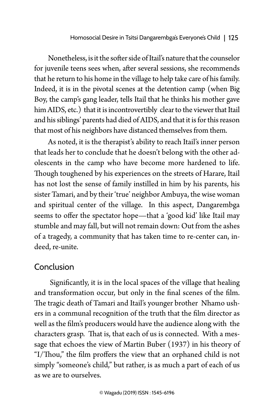Nonetheless, is it the softer side of Itail's nature that the counselor for juvenile teens sees when, after several sessions, she recommends that he return to his home in the village to help take care of his family. Indeed, it is in the pivotal scenes at the detention camp (when Big Boy, the camp's gang leader, tells Itail that he thinks his mother gave him AIDS, etc.) that it is incontrovertibly clear to the viewer that Itail and his siblings' parents had died of AIDS, and that it is for this reason that most of his neighbors have distanced themselves from them.

As noted, it is the therapist's ability to reach Itail's inner person that leads her to conclude that he doesn't belong with the other adolescents in the camp who have become more hardened to life. Though toughened by his experiences on the streets of Harare, Itail has not lost the sense of family instilled in him by his parents, his sister Tamari, and by their 'true' neighbor Ambuya, the wise woman and spiritual center of the village. In this aspect, Dangarembga seems to offer the spectator hope—that a 'good kid' like Itail may stumble and may fall, but will not remain down: Out from the ashes of a tragedy, a community that has taken time to re-center can, indeed, re-unite.

### Conclusion

 Significantly, it is in the local spaces of the village that healing and transformation occur, but only in the final scenes of the film. The tragic death of Tamari and Itail's younger brother Nhamo ushers in a communal recognition of the truth that the film director as well as the film's producers would have the audience along with the characters grasp. That is, that each of us is connected. With a message that echoes the view of Martin Buber (1937) in his theory of "I/Thou," the film proffers the view that an orphaned child is not simply "someone's child," but rather, is as much a part of each of us as we are to ourselves.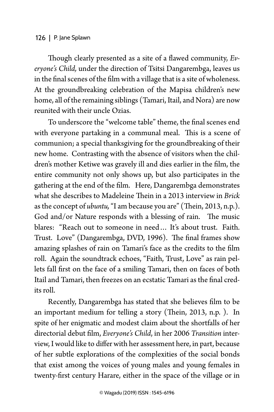#### 126 | P. Jane Splawn

Though clearly presented as a site of a flawed community, *Everyone's Child,* under the direction of Tsitsi Dangarembga, leaves us in the final scenes of the film with a village that is a site of wholeness. At the groundbreaking celebration of the Mapisa children's new home, all of the remaining siblings (Tamari, Itail, and Nora) are now reunited with their uncle Ozias.

To underscore the "welcome table" theme, the final scenes end with everyone partaking in a communal meal. This is a scene of communion; a special thanksgiving for the groundbreaking of their new home. Contrasting with the absence of visitors when the children's mother Ketiwe was gravely ill and dies earlier in the film, the entire community not only shows up, but also participates in the gathering at the end of the film. Here, Dangarembga demonstrates what she describes to Madeleine Thein in a 2013 interview in *Brick* as the concept of *ubuntu,* "I am because you are" (Thein, 2013, n.p.). God and/or Nature responds with a blessing of rain. The music blares: "Reach out to someone in need ... It's about trust. Faith. Trust. Love" (Dangarembga, DVD, 1996). The final frames show amazing splashes of rain on Tamari's face as the credits to the film roll. Again the soundtrack echoes, "Faith, Trust, Love" as rain pellets fall first on the face of a smiling Tamari, then on faces of both Itail and Tamari, then freezes on an ecstatic Tamari as the final credits roll.

Recently, Dangarembga has stated that she believes film to be an important medium for telling a story (Thein, 2013, n.p. ). In spite of her enigmatic and modest claim about the shortfalls of her directorial debut film, *Everyone's Child*, in her 2006 *Transition* interview, I would like to differ with her assessment here, in part, because of her subtle explorations of the complexities of the social bonds that exist among the voices of young males and young females in twenty-first century Harare, either in the space of the village or in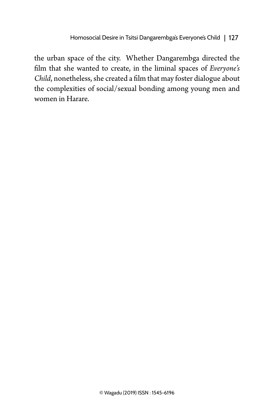the urban space of the city. Whether Dangarembga directed the film that she wanted to create, in the liminal spaces of *Everyone's Child*, nonetheless, she created a film that may foster dialogue about the complexities of social/sexual bonding among young men and women in Harare.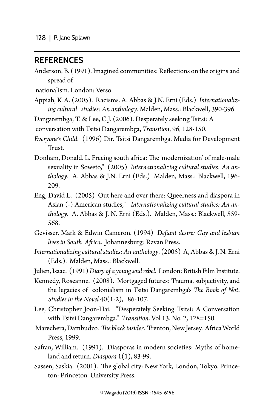### **References**

Anderson, B. (1991). Imagined communities: Reflections on the origins and spread of

nationalism. London: Verso

- Appiah, K.A. (2005). Racisms. A. Abbas & J.N. Erni (Eds.) *Internationalizing cultural studies: An anthology*. Malden, Mass.: Blackwell, 390-396.
- Dangarembga, T. & Lee, C.J. (2006). Desperately seeking Tsitsi: A
- conversation with Tsitsi Dangarembga, *Transition*, 96, 128-150.
- *Everyone's Child*. (1996) Dir. Tsitsi Dangarembga. Media for Development Trust.
- Donham, Donald. L. Freeing south africa: The 'modernization' of male-male sexuality in Soweto," (2005) *Internationalizing cultural studies: An anthology*. A. Abbas & J.N. Erni (Eds.) Malden, Mass.: Blackwell, 196- 209.
- Eng, David L. (2005) Out here and over there: Queerness and diaspora in Asian (-) American studies," *Internationalizing cultural studies: An anthology*. A. Abbas & J. N. Erni (Eds.). Malden, Mass.: Blackwell, 559- 568.
- Gevisser, Mark & Edwin Cameron. (1994) *Defiant desire: Gay and lesbian lives in South Africa*. Johannesburg: Ravan Press.
- *Internationalizing cultural studies: An anthology*. (2005) A, Abbas & J. N. Erni (Eds.). Malden, Mass.: Blackwell.
- Julien, Isaac. (1991) *Diary of a young soul rebel*. London: British Film Institute.
- Kennedy, Roseanne. (2008). Mortgaged futures: Trauma, subjectivity, and the legacies of colonialism in Tsitsi Dangarembga's *The Book of Not*. *Studies in the Novel* 40(1-2), 86-107.
- Lee, Christopher Joon-Hai. "Desperately Seeking Tsitsi: A Conversation with Tsitsi Dangarembga." *Transition*. Vol 13. No. 2, 128=150.
- Marechera, Dambudzo. *The black insider*. Trenton, New Jersey: Africa World Press, 1999.
- Safran, William. (1991). Diasporas in modern societies: Myths of homeland and return. *Diaspora* 1(1), 83-99.
- Sassen, Saskia. (2001). The global city: New York, London, Tokyo. Princeton: Princeton University Press.